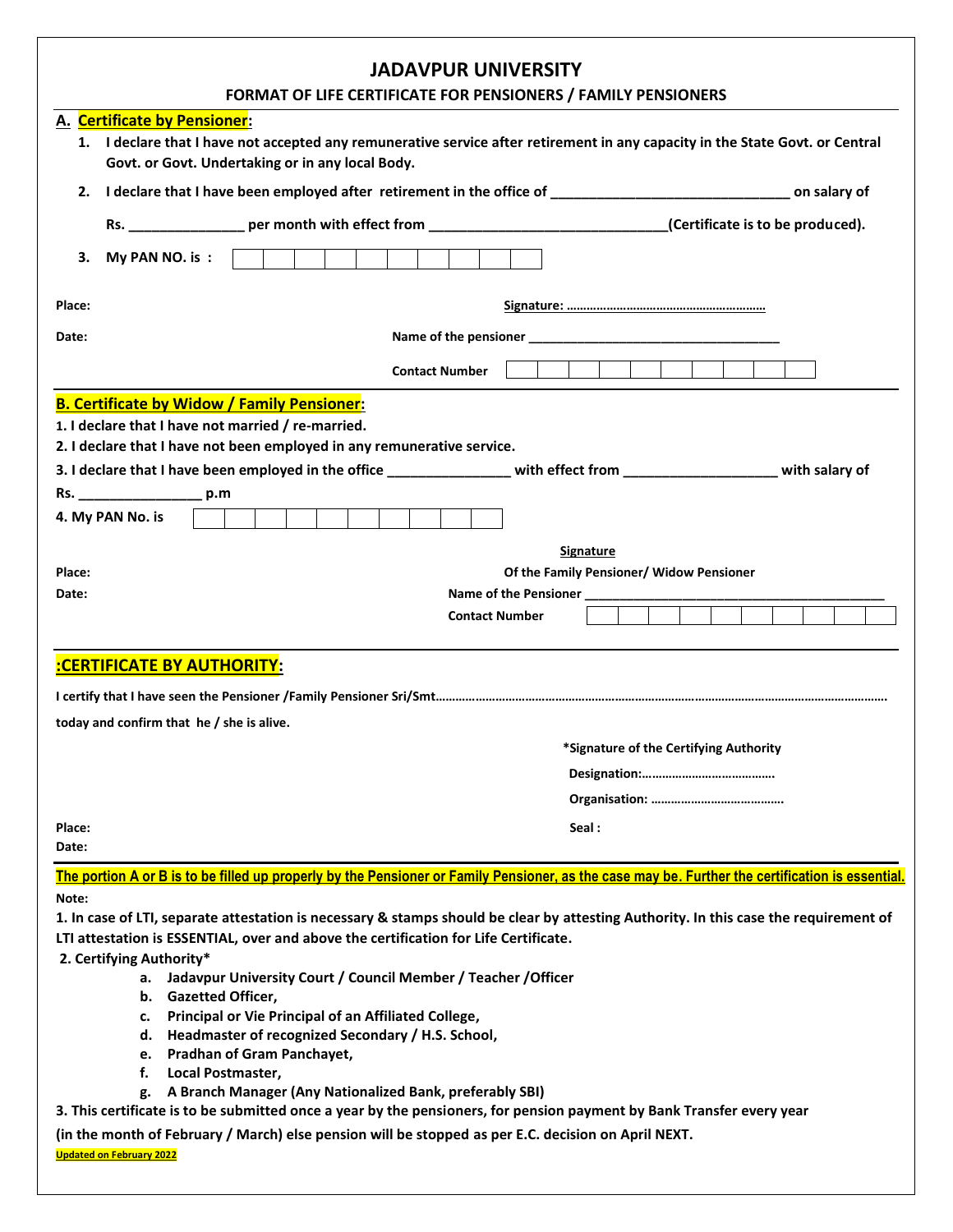|                                                                                                  |                                                                                                                                                               |  |                                                                               |  |  |  |  |  |                       | <b>JADAVPUR UNIVERSITY</b> |  |                  |                                        |  |  |  |  |  |  |  |
|--------------------------------------------------------------------------------------------------|---------------------------------------------------------------------------------------------------------------------------------------------------------------|--|-------------------------------------------------------------------------------|--|--|--|--|--|-----------------------|----------------------------|--|------------------|----------------------------------------|--|--|--|--|--|--|--|
|                                                                                                  |                                                                                                                                                               |  | FORMAT OF LIFE CERTIFICATE FOR PENSIONERS / FAMILY PENSIONERS                 |  |  |  |  |  |                       |                            |  |                  |                                        |  |  |  |  |  |  |  |
|                                                                                                  | A. Certificate by Pensioner:<br>1. I declare that I have not accepted any remunerative service after retirement in any capacity in the State Govt. or Central |  |                                                                               |  |  |  |  |  |                       |                            |  |                  |                                        |  |  |  |  |  |  |  |
|                                                                                                  | Govt. or Govt. Undertaking or in any local Body.                                                                                                              |  |                                                                               |  |  |  |  |  |                       |                            |  |                  |                                        |  |  |  |  |  |  |  |
|                                                                                                  |                                                                                                                                                               |  |                                                                               |  |  |  |  |  |                       |                            |  |                  |                                        |  |  |  |  |  |  |  |
|                                                                                                  |                                                                                                                                                               |  |                                                                               |  |  |  |  |  |                       |                            |  |                  |                                        |  |  |  |  |  |  |  |
| З.                                                                                               | $My$ PAN NO. is $:$                                                                                                                                           |  |                                                                               |  |  |  |  |  |                       |                            |  |                  |                                        |  |  |  |  |  |  |  |
|                                                                                                  |                                                                                                                                                               |  |                                                                               |  |  |  |  |  |                       |                            |  |                  |                                        |  |  |  |  |  |  |  |
| Place:                                                                                           |                                                                                                                                                               |  |                                                                               |  |  |  |  |  |                       |                            |  |                  |                                        |  |  |  |  |  |  |  |
| Date:                                                                                            |                                                                                                                                                               |  |                                                                               |  |  |  |  |  |                       |                            |  |                  |                                        |  |  |  |  |  |  |  |
|                                                                                                  |                                                                                                                                                               |  |                                                                               |  |  |  |  |  | <b>Contact Number</b> |                            |  |                  |                                        |  |  |  |  |  |  |  |
|                                                                                                  | <b>B. Certificate by Widow / Family Pensioner:</b>                                                                                                            |  |                                                                               |  |  |  |  |  |                       |                            |  |                  |                                        |  |  |  |  |  |  |  |
|                                                                                                  | 1. I declare that I have not married / re-married.                                                                                                            |  |                                                                               |  |  |  |  |  |                       |                            |  |                  |                                        |  |  |  |  |  |  |  |
|                                                                                                  | 2. I declare that I have not been employed in any remunerative service.                                                                                       |  |                                                                               |  |  |  |  |  |                       |                            |  |                  |                                        |  |  |  |  |  |  |  |
|                                                                                                  |                                                                                                                                                               |  |                                                                               |  |  |  |  |  |                       |                            |  |                  |                                        |  |  |  |  |  |  |  |
|                                                                                                  |                                                                                                                                                               |  |                                                                               |  |  |  |  |  |                       |                            |  |                  |                                        |  |  |  |  |  |  |  |
|                                                                                                  | 4. My PAN No. is                                                                                                                                              |  |                                                                               |  |  |  |  |  |                       |                            |  |                  |                                        |  |  |  |  |  |  |  |
|                                                                                                  |                                                                                                                                                               |  |                                                                               |  |  |  |  |  |                       |                            |  | <b>Signature</b> |                                        |  |  |  |  |  |  |  |
| Place:                                                                                           |                                                                                                                                                               |  |                                                                               |  |  |  |  |  |                       |                            |  |                  |                                        |  |  |  |  |  |  |  |
| Of the Family Pensioner/ Widow Pensioner<br>Name of the Pensioner _________________<br>Date:     |                                                                                                                                                               |  |                                                                               |  |  |  |  |  |                       |                            |  |                  |                                        |  |  |  |  |  |  |  |
|                                                                                                  |                                                                                                                                                               |  |                                                                               |  |  |  |  |  |                       | <b>Contact Number</b>      |  |                  |                                        |  |  |  |  |  |  |  |
|                                                                                                  |                                                                                                                                                               |  |                                                                               |  |  |  |  |  |                       |                            |  |                  |                                        |  |  |  |  |  |  |  |
|                                                                                                  | :CERTIFICATE BY AUTHORITY:                                                                                                                                    |  |                                                                               |  |  |  |  |  |                       |                            |  |                  |                                        |  |  |  |  |  |  |  |
|                                                                                                  |                                                                                                                                                               |  |                                                                               |  |  |  |  |  |                       |                            |  |                  |                                        |  |  |  |  |  |  |  |
|                                                                                                  | today and confirm that he / she is alive.                                                                                                                     |  |                                                                               |  |  |  |  |  |                       |                            |  |                  |                                        |  |  |  |  |  |  |  |
|                                                                                                  |                                                                                                                                                               |  |                                                                               |  |  |  |  |  |                       |                            |  |                  | *Signature of the Certifying Authority |  |  |  |  |  |  |  |
|                                                                                                  |                                                                                                                                                               |  |                                                                               |  |  |  |  |  |                       |                            |  |                  |                                        |  |  |  |  |  |  |  |
|                                                                                                  |                                                                                                                                                               |  |                                                                               |  |  |  |  |  |                       |                            |  |                  |                                        |  |  |  |  |  |  |  |
| Place:                                                                                           |                                                                                                                                                               |  |                                                                               |  |  |  |  |  |                       |                            |  | Seal:            |                                        |  |  |  |  |  |  |  |
| Date:                                                                                            |                                                                                                                                                               |  |                                                                               |  |  |  |  |  |                       |                            |  |                  |                                        |  |  |  |  |  |  |  |
|                                                                                                  | The portion A or B is to be filled up properly by the Pensioner or Family Pensioner, as the case may be. Further the certification is essential.              |  |                                                                               |  |  |  |  |  |                       |                            |  |                  |                                        |  |  |  |  |  |  |  |
| Note:                                                                                            |                                                                                                                                                               |  |                                                                               |  |  |  |  |  |                       |                            |  |                  |                                        |  |  |  |  |  |  |  |
|                                                                                                  | 1. In case of LTI, separate attestation is necessary & stamps should be clear by attesting Authority. In this case the requirement of                         |  |                                                                               |  |  |  |  |  |                       |                            |  |                  |                                        |  |  |  |  |  |  |  |
|                                                                                                  | LTI attestation is ESSENTIAL, over and above the certification for Life Certificate.                                                                          |  |                                                                               |  |  |  |  |  |                       |                            |  |                  |                                        |  |  |  |  |  |  |  |
|                                                                                                  | 2. Certifying Authority*<br>а.                                                                                                                                |  |                                                                               |  |  |  |  |  |                       |                            |  |                  |                                        |  |  |  |  |  |  |  |
| Jadavpur University Court / Council Member / Teacher / Officer<br><b>Gazetted Officer,</b><br>b. |                                                                                                                                                               |  |                                                                               |  |  |  |  |  |                       |                            |  |                  |                                        |  |  |  |  |  |  |  |
| Principal or Vie Principal of an Affiliated College,<br>c.                                       |                                                                                                                                                               |  |                                                                               |  |  |  |  |  |                       |                            |  |                  |                                        |  |  |  |  |  |  |  |
| Headmaster of recognized Secondary / H.S. School,<br>d.                                          |                                                                                                                                                               |  |                                                                               |  |  |  |  |  |                       |                            |  |                  |                                        |  |  |  |  |  |  |  |
|                                                                                                  | е.                                                                                                                                                            |  | <b>Pradhan of Gram Panchayet,</b>                                             |  |  |  |  |  |                       |                            |  |                  |                                        |  |  |  |  |  |  |  |
|                                                                                                  | f.<br>g.                                                                                                                                                      |  | Local Postmaster,<br>A Branch Manager (Any Nationalized Bank, preferably SBI) |  |  |  |  |  |                       |                            |  |                  |                                        |  |  |  |  |  |  |  |
|                                                                                                  | 3. This certificate is to be submitted once a year by the pensioners, for pension payment by Bank Transfer every year                                         |  |                                                                               |  |  |  |  |  |                       |                            |  |                  |                                        |  |  |  |  |  |  |  |
|                                                                                                  | (in the month of February / March) else pension will be stopped as per E.C. decision on April NEXT.<br><b>Updated on February 2022</b>                        |  |                                                                               |  |  |  |  |  |                       |                            |  |                  |                                        |  |  |  |  |  |  |  |